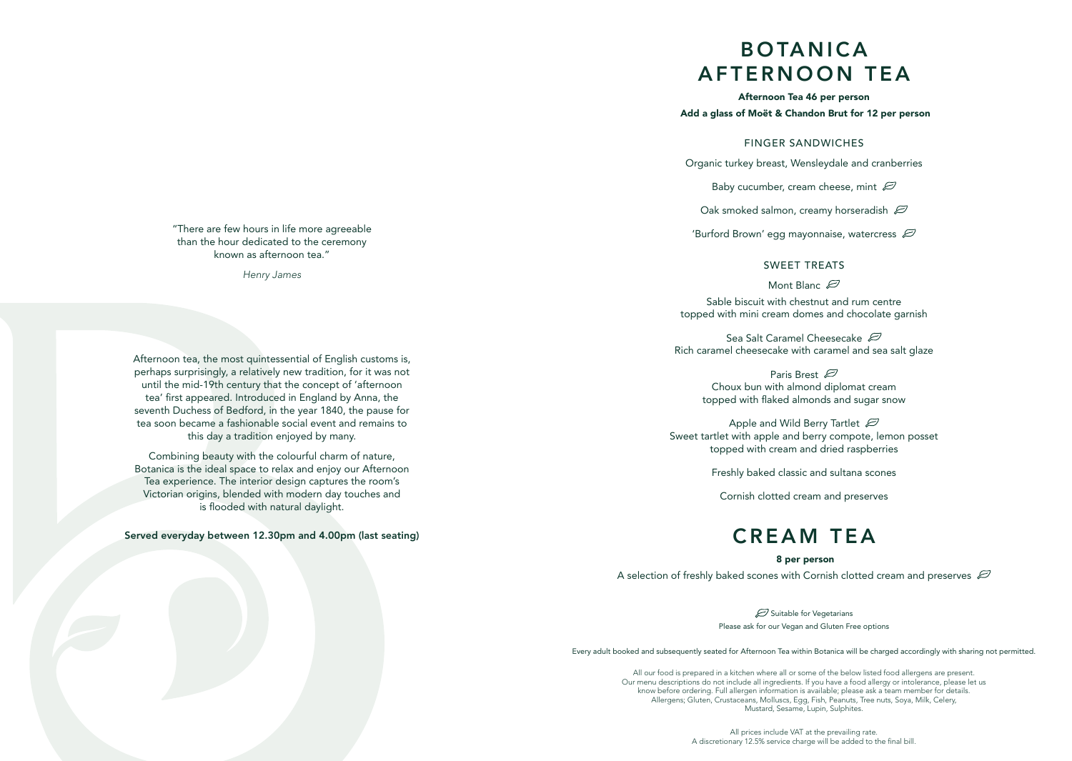# B O TA N I C A AFTERNOON TEA

Afternoon Tea 46 per person Add a glass of Moët & Chandon Brut for 12 per person

#### FINGER SANDWICHES

Organic turkey breast, Wensleydale and cranberries

Baby cucumber, cream cheese, mint  $\varnothing$ 

Oak smoked salmon, creamy horseradish  $\varnothing$ 

'Burford Brown' egg mayonnaise, watercress  $\varnothing$ 

### SWEET TREATS

Mont Blanc  $\varnothing$ 

Sable biscuit with chestnut and rum centre topped with mini cream domes and chocolate garnish

Sea Salt Caramel Cheesecake  $\varnothing$ Rich caramel cheesecake with caramel and sea salt glaze

> Paris Brest  $\varnothing$ Choux bun with almond diplomat cream topped with flaked almonds and sugar snow

Apple and Wild Berry Tartlet  $\varnothing$ Sweet tartlet with apple and berry compote, lemon posset topped with cream and dried raspberries

Freshly baked classic and sultana scones

Cornish clotted cream and preserves

# CREAM TEA

#### 8 per person

A selection of freshly baked scones with Cornish clotted cream and preserves  $\varnothing$ 

Suitable for Vegetarians Please ask for our Vegan and Gluten Free options

Every adult booked and subsequently seated for Afternoon Tea within Botanica will be charged accordingly with sharing not permitted.

All our food is prepared in a kitchen where all or some of the below listed food allergens are present. Our menu descriptions do not include all ingredients. If you have a food allergy or intolerance, please let us know before ordering. Full allergen information is available; please ask a team member for details. Allergens; Gluten, Crustaceans, Molluscs, Egg, Fish, Peanuts, Tree nuts, Soya, Milk, Celery, Mustard, Sesame, Lupin, Sulphites.

> All prices include VAT at the prevailing rate. A discretionary 12.5% service charge will be added to the final bill.

"There are few hours in life more agreeable than the hour dedicated to the ceremony known as afternoon tea."

*Henry James*

Afternoon tea, the most quintessential of English customs is, perhaps surprisingly, a relatively new tradition, for it was not until the mid-19th century that the concept of 'afternoon tea' first appeared. Introduced in England by Anna, the seventh Duchess of Bedford, in the year 1840, the pause for tea soon became a fashionable social event and remains to this day a tradition enjoyed by many.

Combining beauty with the colourful charm of nature, Botanica is the ideal space to relax and enjoy our Afternoon Tea experience. The interior design captures the room's Victorian origins, blended with modern day touches and is flooded with natural daylight.

Served everyday between 12.30pm and 4.00pm (last seating)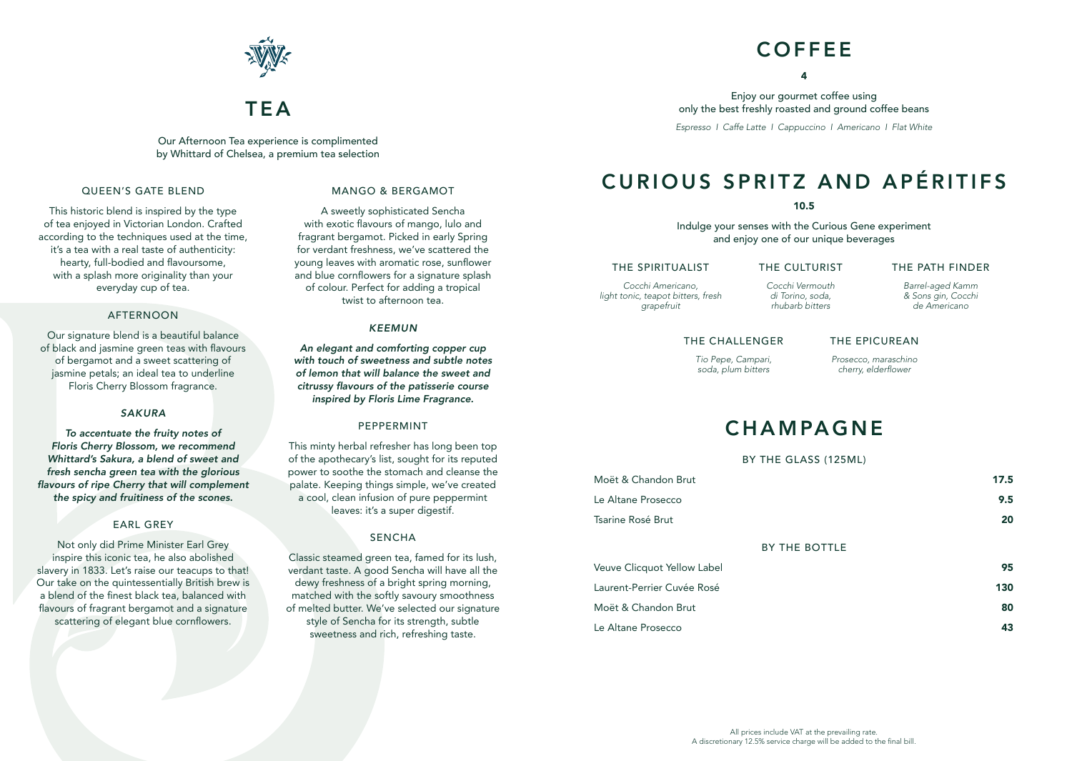

# **TEΔ**

Our Afternoon Tea experience is complimented by Whittard of Chelsea, a premium tea selection

### QUEEN'S GATE BLEND

This historic blend is inspired by the type of tea enjoyed in Victorian London. Crafted according to the techniques used at the time, it's a tea with a real taste of authenticity: hearty, full-bodied and flavoursome, with a splash more originality than your everyday cup of tea.

#### AFTERNOON

Our signature blend is a beautiful balance of black and jasmine green teas with flavours of bergamot and a sweet scattering of jasmine petals; an ideal tea to underline Floris Cherry Blossom fragrance.

#### *SAKURA*

*To accentuate the fruity notes of Floris Cherry Blossom, we recommend Whittard's Sakura, a blend of sweet and fresh sencha green tea with the glorious*  flavours of ripe Cherry that will complement the spicy and fruitiness of the scones.

### EARL GREY

Not only did Prime Minister Earl Grey inspire this iconic tea, he also abolished slavery in 1833. Let's raise our teacups to that! Our take on the quintessentially British brew is a blend of the finest black tea, balanced with flavours of fragrant bergamot and a signature scattering of elegant blue cornflowers.

### MANGO & BERGAMOT

A sweetly sophisticated Sencha with exotic flavours of mango, lulo and fragrant bergamot. Picked in early Spring for verdant freshness, we've scattered the young leaves with aromatic rose, sunflower and blue cornflowers for a signature splash of colour. Perfect for adding a tropical twist to afternoon tea.

#### *KEEMUN*

An elegant and comforting copper cup *with touch of sweetness and subtle notes of lemon that will balance the sweet and*  citrussy flavours of the patisserie course inspired by Floris Lime Fragrance.

#### PEPPERMINT

This minty herbal refresher has long been top of the apothecary's list, sought for its reputed power to soothe the stomach and cleanse the palate. Keeping things simple, we've created a cool, clean infusion of pure peppermint leaves: it's a super digestif.

### SENCHA

Classic steamed green tea, famed for its lush, verdant taste. A good Sencha will have all the dewy freshness of a bright spring morning, matched with the softly savoury smoothness of melted butter. We've selected our signature style of Sencha for its strength, subtle sweetness and rich, refreshing taste.

# **COFFFE**

4

Enjoy our gourmet coffee using only the best freshly roasted and ground coffee beans *Espresso I Caffe Latte I Cappuccino I Americano I Flat White*

# CURIOUS SPRITZ AND APÉRITIFS

10.5

Indulge your senses with the Curious Gene experiment and enjoy one of our unique beverages

### THE SPIRITUALIST

*Cocchi Americano, light tonic, teapot bitters, fresh grapefruit*

*Cocchi Vermouth di Torino, soda, rhubarb bitters*

THE CULTURIST

*Barrel-aged Kamm & Sons gin, Cocchi* 

THE PATH FINDER

*de Americano*

## THE CHALLENGER

*Tio Pepe, Campari, soda, plum bitters* *Prosecco, maraschino*  cherry, elderflower

THE EPICUREAN

# **CHAMPAGNE**

#### BY THE GLASS (125ML)

| Moët & Chandon Brut | 17.5 |
|---------------------|------|
| Le Altane Prosecco  | 9.5  |
| Tsarine Rosé Brut   | 20   |
| DV TUE DATTLE       |      |

#### BY THE BOTTLE

| Veuve Clicquot Yellow Label | 95  |
|-----------------------------|-----|
| Laurent-Perrier Cuvée Rosé  | 130 |
| Moët & Chandon Brut         | 80  |
| Le Altane Prosecco          | 43  |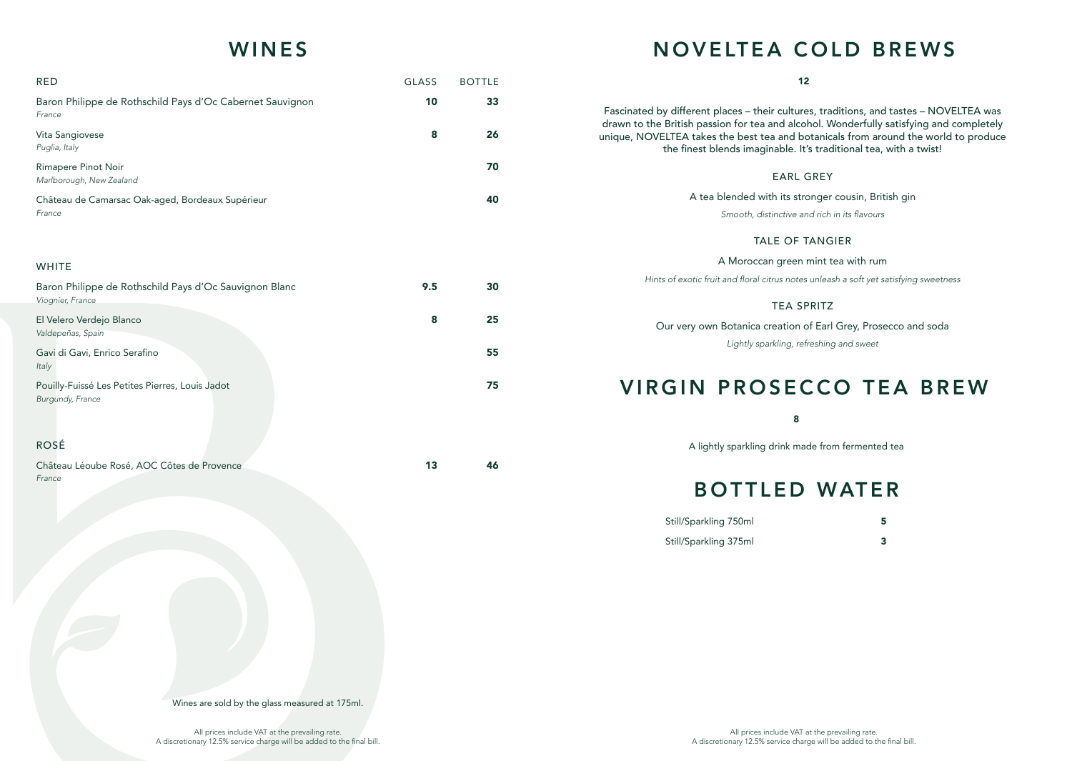# WINES

| <b>RED</b>                                                          | <b>GLASS</b> | <b>BOTTLE</b> |
|---------------------------------------------------------------------|--------------|---------------|
| Baron Philippe de Rothschild Pays d'Oc Cabernet Sauvignon<br>France | 10           | 33            |
| Vita Sangiovese<br>Puglia, Italy                                    | 8            | 26            |
| Rimapere Pinot Noir<br>Marlborough, New Zealand                     |              | 70            |
| Château de Camarsac Oak-aged, Bordeaux Supérieur<br>France          |              | 40            |

### WHITE

| Baron Philippe de Rothschild Pays d'Oc Sauvignon Blanc | 9.5 | 30 |
|--------------------------------------------------------|-----|----|
| Viognier, France                                       |     |    |
| El Velero Verdejo Blanco                               | 8   | 25 |
| Valdepeñas, Spain                                      |     |    |
| Gavi di Gavi, Enrico Serafino                          |     | 55 |
| Italy                                                  |     |    |
| Pouilly-Fuissé Les Petites Pierres, Louis Jadot        |     | 75 |
| Burgundy, France                                       |     |    |
|                                                        |     |    |
|                                                        |     |    |

# ROSÉ

| Château Léoube Rosé, AOC Côtes de Provence |  |
|--------------------------------------------|--|
| France                                     |  |

# NOVELTEA COLD BREWS

| 12                                                                                                                                                                                                                                                                                                                                            |
|-----------------------------------------------------------------------------------------------------------------------------------------------------------------------------------------------------------------------------------------------------------------------------------------------------------------------------------------------|
| Fascinated by different places – their cultures, traditions, and tastes – NOVELTEA was<br>drawn to the British passion for tea and alcohol. Wonderfully satisfying and completely<br>unique, NOVELTEA takes the best tea and botanicals from around the world to produce<br>the finest blends imaginable. It's traditional tea, with a twist! |
| <b>EARL GREY</b>                                                                                                                                                                                                                                                                                                                              |
| A tea blended with its stronger cousin, British gin                                                                                                                                                                                                                                                                                           |
| Smooth, distinctive and rich in its flavours                                                                                                                                                                                                                                                                                                  |
| <b>TALE OF TANGIER</b>                                                                                                                                                                                                                                                                                                                        |
| A Moroccan green mint tea with rum                                                                                                                                                                                                                                                                                                            |
| Hints of exotic fruit and floral citrus notes unleash a soft yet satisfying sweetness                                                                                                                                                                                                                                                         |
| <b>TEA SPRITZ</b>                                                                                                                                                                                                                                                                                                                             |
| Our very own Botanica creation of Earl Grey, Prosecco and soda                                                                                                                                                                                                                                                                                |
| Lightly sparkling, refreshing and sweet                                                                                                                                                                                                                                                                                                       |
|                                                                                                                                                                                                                                                                                                                                               |
| <b>VIRGIN PROSECCO TEA BREW</b>                                                                                                                                                                                                                                                                                                               |
| 8                                                                                                                                                                                                                                                                                                                                             |
| A lightly sparkling drink made from fermented tea                                                                                                                                                                                                                                                                                             |

# BOTTLED WATER

| Still/Sparkling 750ml |  |
|-----------------------|--|
| Still/Sparkling 375ml |  |

Wines are sold by the glass measured at 175ml.

All prices include VAT at the prevailing rate. A discretionary 12.5% service charge will be added to the final bill.

All prices include VAT at the prevailing rate. A discretionary 12.5% service charge will be added to the final bill.